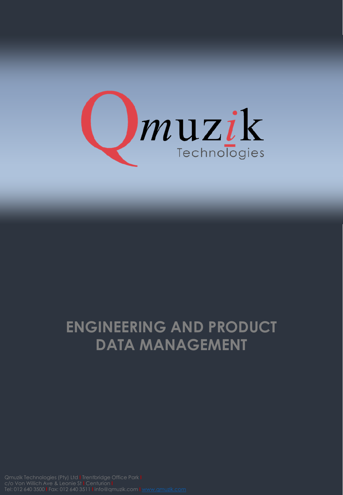

## **ENGINEERING AND PRODUCT DATA MANAGEMENT**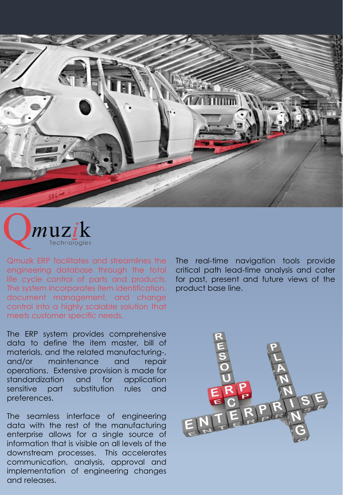



Qmuzik ERP facilitates and streamlines the engineering database through the total life cycle control of parts and products. The system incorporates item identification, document management, and change control into a highly scalable solution that meets customer specific needs.

The ERP system provides comprehensive data to define the item master, bill of materials, and the related manufacturing-, and/or maintenance and repair operations. Extensive provision is made for standardization and for application sensitive part substitution rules and preferences.

The seamless interface of engineering data with the rest of the manufacturing enterprise allows for a single source of information that is visible on all levels of the downstream processes. This accelerates communication, analysis, approval and implementation of engineering changes and releases.

The real-time navigation tools provide critical path lead-time analysis and cater for past, present and future views of the product base line.

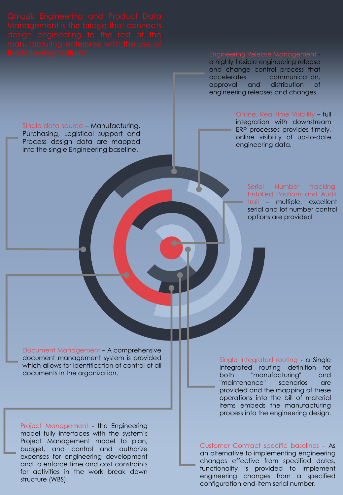Single data source – Manufacturing, Purchasing, Logistical support and Process design data are mapped into the single Engineering baseline.

Engineering Release Management a highly flexible engineering release and change control process that accelerates communication, approval and distribution of engineering releases and changes.

> Online, Real-time Visibility – full integration with downstream ERP processes provides timely, online visibility of up-to-date engineering data.

> > Serial Number tracking, Installed Positions and Audit trail – multiple, excellent serial and lot number control options are provided

Document Management – A comprehensive document management system is provided which allows for identification of control of all

documents in the organization.

Project Management - the Engineering model fully interfaces with the system's Project Management model to plan, budget, and control and authorize expenses for engineering development and to enforce time and cost constraints for activities in the work break down structure (WBS).

Single integrated routing - a Single integrated routing definition for both "manufacturing" and "maintenance" scenarios are provided and the mapping of these operations into the bill of material items embeds the manufacturing process into the engineering design.

Customer Contract specific baselines – As an alternative to implementing engineering changes effective from specified dates, functionality is provided to implement engineering changes from a specified configuration end-item serial number.